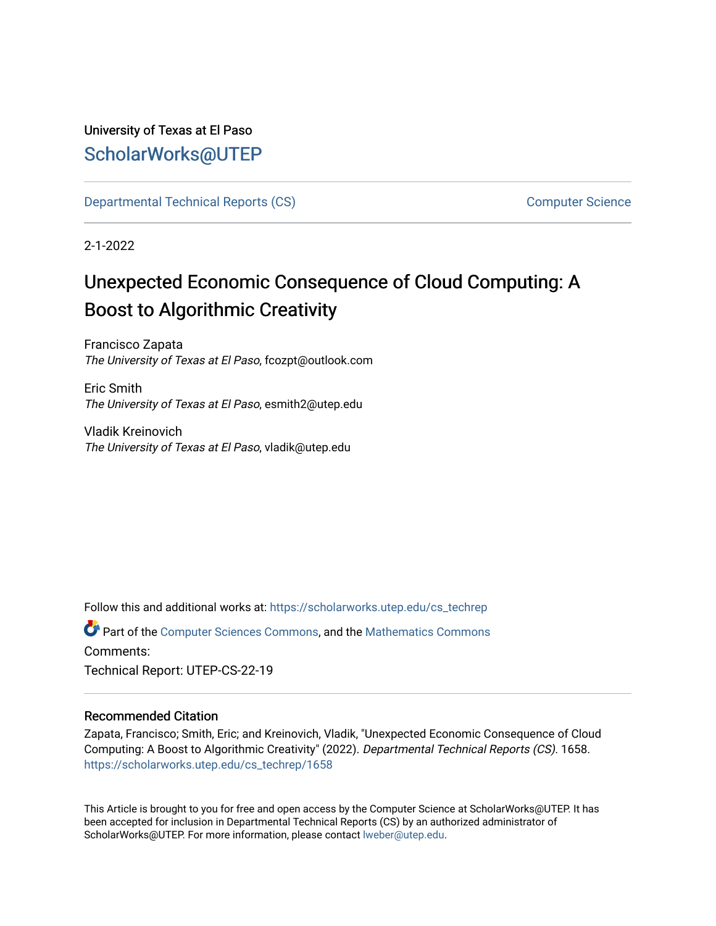University of Texas at El Paso [ScholarWorks@UTEP](https://scholarworks.utep.edu/)

[Departmental Technical Reports \(CS\)](https://scholarworks.utep.edu/cs_techrep) [Computer Science](https://scholarworks.utep.edu/computer) 

2-1-2022

# Unexpected Economic Consequence of Cloud Computing: A Boost to Algorithmic Creativity

Francisco Zapata The University of Texas at El Paso, fcozpt@outlook.com

Eric Smith The University of Texas at El Paso, esmith2@utep.edu

Vladik Kreinovich The University of Texas at El Paso, vladik@utep.edu

Follow this and additional works at: [https://scholarworks.utep.edu/cs\\_techrep](https://scholarworks.utep.edu/cs_techrep?utm_source=scholarworks.utep.edu%2Fcs_techrep%2F1658&utm_medium=PDF&utm_campaign=PDFCoverPages) 

Part of the [Computer Sciences Commons](http://network.bepress.com/hgg/discipline/142?utm_source=scholarworks.utep.edu%2Fcs_techrep%2F1658&utm_medium=PDF&utm_campaign=PDFCoverPages), and the [Mathematics Commons](http://network.bepress.com/hgg/discipline/174?utm_source=scholarworks.utep.edu%2Fcs_techrep%2F1658&utm_medium=PDF&utm_campaign=PDFCoverPages)  Comments:

Technical Report: UTEP-CS-22-19

### Recommended Citation

Zapata, Francisco; Smith, Eric; and Kreinovich, Vladik, "Unexpected Economic Consequence of Cloud Computing: A Boost to Algorithmic Creativity" (2022). Departmental Technical Reports (CS). 1658. [https://scholarworks.utep.edu/cs\\_techrep/1658](https://scholarworks.utep.edu/cs_techrep/1658?utm_source=scholarworks.utep.edu%2Fcs_techrep%2F1658&utm_medium=PDF&utm_campaign=PDFCoverPages) 

This Article is brought to you for free and open access by the Computer Science at ScholarWorks@UTEP. It has been accepted for inclusion in Departmental Technical Reports (CS) by an authorized administrator of ScholarWorks@UTEP. For more information, please contact [lweber@utep.edu](mailto:lweber@utep.edu).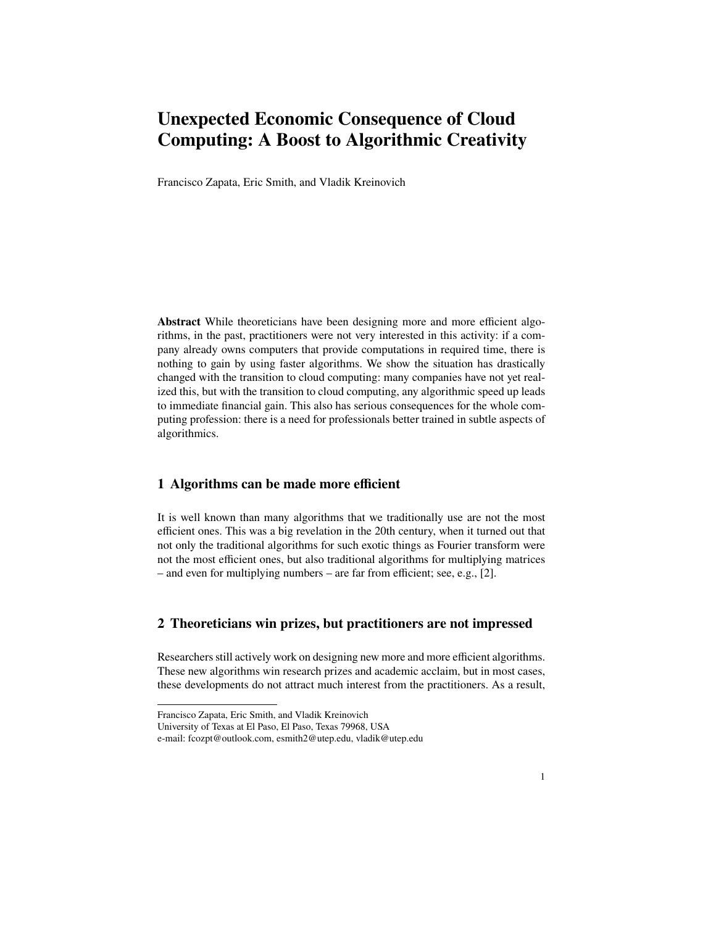# **Unexpected Economic Consequence of Cloud Computing: A Boost to Algorithmic Creativity**

Francisco Zapata, Eric Smith, and Vladik Kreinovich

**Abstract** While theoreticians have been designing more and more efficient algorithms, in the past, practitioners were not very interested in this activity: if a company already owns computers that provide computations in required time, there is nothing to gain by using faster algorithms. We show the situation has drastically changed with the transition to cloud computing: many companies have not yet realized this, but with the transition to cloud computing, any algorithmic speed up leads to immediate financial gain. This also has serious consequences for the whole computing profession: there is a need for professionals better trained in subtle aspects of algorithmics.

#### **1 Algorithms can be made more efficient**

It is well known than many algorithms that we traditionally use are not the most efficient ones. This was a big revelation in the 20th century, when it turned out that not only the traditional algorithms for such exotic things as Fourier transform were not the most efficient ones, but also traditional algorithms for multiplying matrices – and even for multiplying numbers – are far from efficient; see, e.g., [2].

## **2 Theoreticians win prizes, but practitioners are not impressed**

Researchers still actively work on designing new more and more efficient algorithms. These new algorithms win research prizes and academic acclaim, but in most cases, these developments do not attract much interest from the practitioners. As a result,

Francisco Zapata, Eric Smith, and Vladik Kreinovich

University of Texas at El Paso, El Paso, Texas 79968, USA

e-mail: fcozpt@outlook.com, esmith2@utep.edu, vladik@utep.edu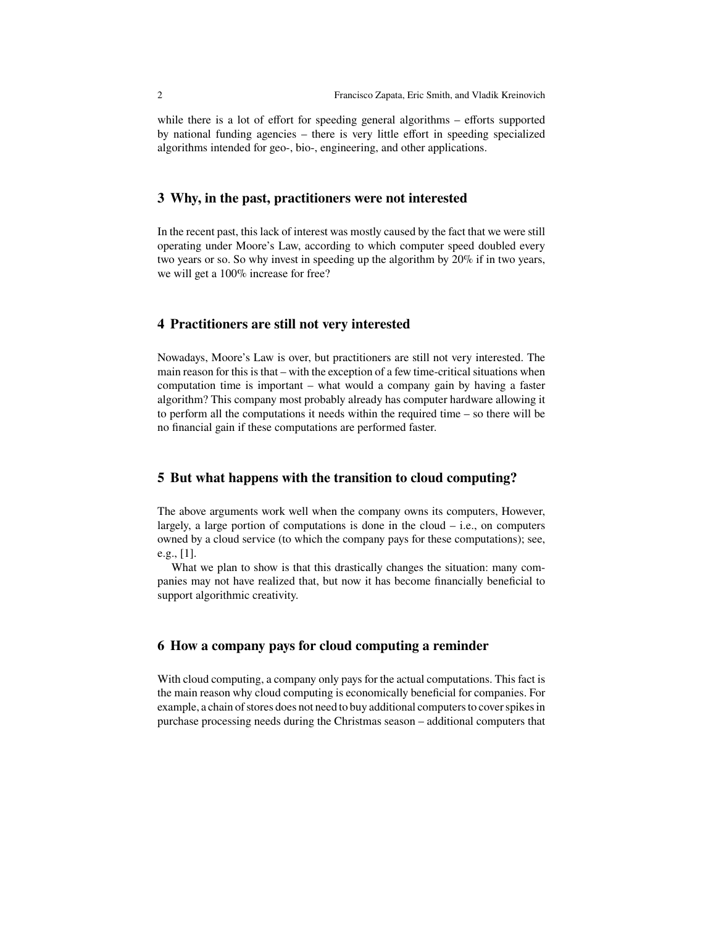while there is a lot of effort for speeding general algorithms – efforts supported by national funding agencies – there is very little effort in speeding specialized algorithms intended for geo-, bio-, engineering, and other applications.

#### **3 Why, in the past, practitioners were not interested**

In the recent past, this lack of interest was mostly caused by the fact that we were still operating under Moore's Law, according to which computer speed doubled every two years or so. So why invest in speeding up the algorithm by 20% if in two years, we will get a 100% increase for free?

#### **4 Practitioners are still not very interested**

Nowadays, Moore's Law is over, but practitioners are still not very interested. The main reason for this is that – with the exception of a few time-critical situations when computation time is important – what would a company gain by having a faster algorithm? This company most probably already has computer hardware allowing it to perform all the computations it needs within the required time – so there will be no financial gain if these computations are performed faster.

#### **5 But what happens with the transition to cloud computing?**

The above arguments work well when the company owns its computers, However, largely, a large portion of computations is done in the cloud  $-$  i.e., on computers owned by a cloud service (to which the company pays for these computations); see, e.g., [1].

What we plan to show is that this drastically changes the situation: many companies may not have realized that, but now it has become financially beneficial to support algorithmic creativity.

#### **6 How a company pays for cloud computing a reminder**

With cloud computing, a company only pays for the actual computations. This fact is the main reason why cloud computing is economically beneficial for companies. For example, a chain of stores does not need to buy additional computers to cover spikes in purchase processing needs during the Christmas season – additional computers that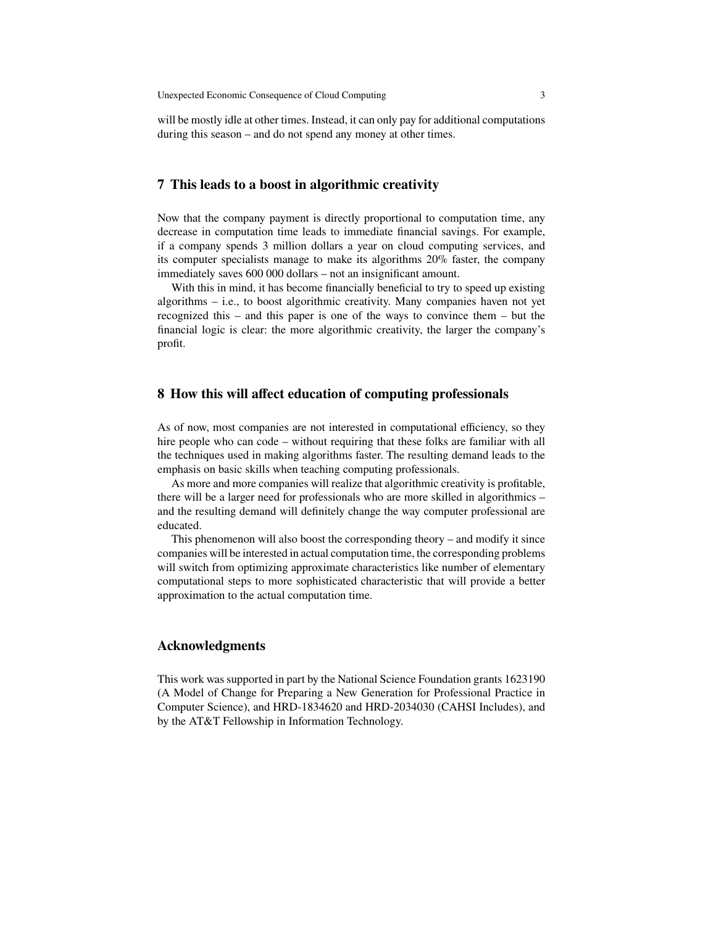will be mostly idle at other times. Instead, it can only pay for additional computations during this season – and do not spend any money at other times.

#### **7 This leads to a boost in algorithmic creativity**

Now that the company payment is directly proportional to computation time, any decrease in computation time leads to immediate financial savings. For example, if a company spends 3 million dollars a year on cloud computing services, and its computer specialists manage to make its algorithms 20% faster, the company immediately saves 600 000 dollars – not an insignificant amount.

With this in mind, it has become financially beneficial to try to speed up existing algorithms – i.e., to boost algorithmic creativity. Many companies haven not yet recognized this – and this paper is one of the ways to convince them – but the financial logic is clear: the more algorithmic creativity, the larger the company's profit.

#### **8 How this will affect education of computing professionals**

As of now, most companies are not interested in computational efficiency, so they hire people who can code – without requiring that these folks are familiar with all the techniques used in making algorithms faster. The resulting demand leads to the emphasis on basic skills when teaching computing professionals.

As more and more companies will realize that algorithmic creativity is profitable, there will be a larger need for professionals who are more skilled in algorithmics – and the resulting demand will definitely change the way computer professional are educated.

This phenomenon will also boost the corresponding theory – and modify it since companies will be interested in actual computation time, the corresponding problems will switch from optimizing approximate characteristics like number of elementary computational steps to more sophisticated characteristic that will provide a better approximation to the actual computation time.

#### **Acknowledgments**

This work was supported in part by the National Science Foundation grants 1623190 (A Model of Change for Preparing a New Generation for Professional Practice in Computer Science), and HRD-1834620 and HRD-2034030 (CAHSI Includes), and by the AT&T Fellowship in Information Technology.